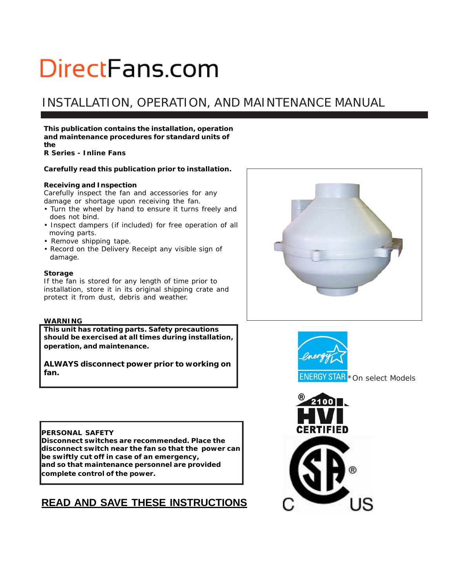## INSTALLATION, OPERATION, AND MAINTENANCE MANUAL

**This publication contains the installation, operation and maintenance procedures for standard units of the**

*R Series - Inline Fans*

### **Carefully read this publication prior to installation.**

### **Receiving and Inspection**

Carefully inspect the fan and accessories for any damage or shortage upon receiving the fan.

- Turn the wheel by hand to ensure it turns freely and does not bind.
- Inspect dampers (if included) for free operation of all moving parts.
- Remove shipping tape.
- Record on the *Delivery Receipt* any visible sign of damage.

#### **Storage**

If the fan is stored for any length of time prior to installation, store it in its original shipping crate and protect it from dust, debris and weather.

#### **WARNING**

**This unit has rotating parts. Safety precautions should be exercised at all times during installation, operation, and maintenance.**

**ALWAYS disconnect power prior to working on fan.**

### **PERSONAL SAFETY**

**Disconnect switches are recommended. Place the disconnect switch near the fan so that the power can be swiftly cut off in case of an emergency, and so that maintenance personnel are provided complete control of the power.**

## **READ AND SAVE THESE INSTRUCTIONS**





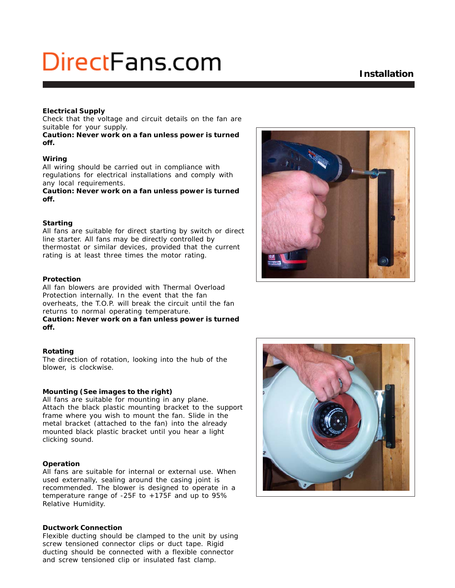## **Installation**

#### **Electrical Supply**

Check that the voltage and circuit details on the fan are suitable for your supply.

**Caution: Never work on a fan unless power is turned off.**

#### **Wiring**

All wiring should be carried out in compliance with regulations for electrical installations and comply with any local requirements.

**Caution: Never work on a fan unless power is turned off.**

#### **Starting**

All fans are suitable for direct starting by switch or direct line starter. All fans may be directly controlled by thermostat or similar devices, provided that the current rating is at least three times the motor rating.

#### **Protection**

All fan blowers are provided with Thermal Overload Protection internally. In the event that the fan overheats, the T.O.P. will break the circuit until the fan returns to normal operating temperature. **Caution: Never work on a fan unless power is turned off.**

#### **Rotating**

The direction of rotation, looking into the hub of the blower, is clockwise.

#### **Mounting (See images to the right)**

All fans are suitable for mounting in any plane. Attach the black plastic mounting bracket to the support frame where you wish to mount the fan. Slide in the metal bracket (attached to the fan) into the already mounted black plastic bracket until you hear a light clicking sound.

### **Operation**

All fans are suitable for internal or external use. When used externally, sealing around the casing joint is recommended. The blower is designed to operate in a temperature range of -25F to +175F and up to 95% Relative Humidity.

#### **Ductwork Connection**

Flexible ducting should be clamped to the unit by using screw tensioned connector clips or duct tape. Rigid ducting should be connected with a flexible connector and screw tensioned clip or insulated fast clamp.



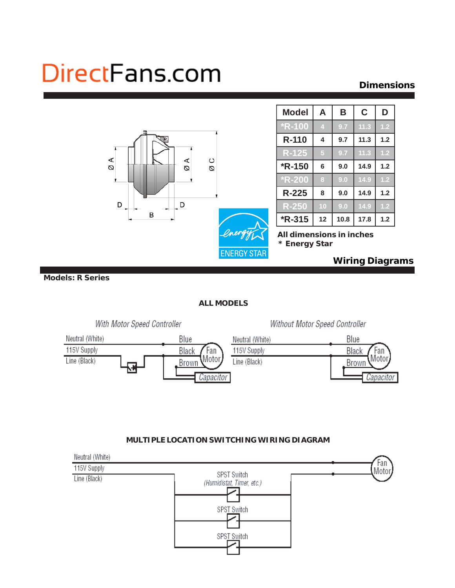## **Dimensions**



 **Models: R Series**

## **ALL MODELS**



## Without Motor Speed Controller



## **MULTIPLE LOCATION SWITCHING WIRING DIAGRAM**

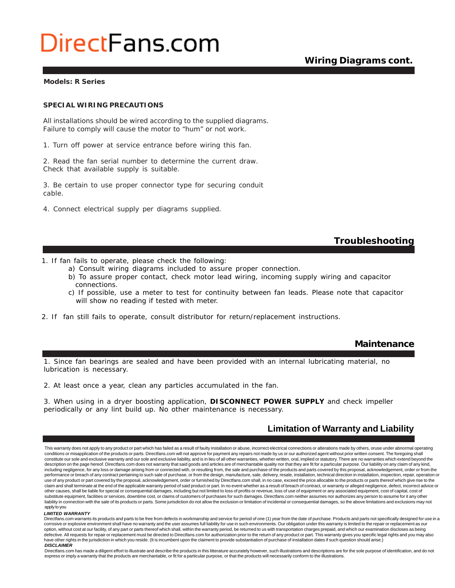## **Wiring Diagrams cont.**

#### **Models: R Series**

#### *SPECIAL WIRING PRECAUTIONS*

*All installations should be wired according to the supplied diagrams. Failure to comply will cause the motor to "hum" or not work.*

1. Turn off power at service entrance before wiring this fan.

2. Read the fan serial number to determine the current draw. Check that available supply is suitable.

3. Be certain to use proper connector type for securing conduit cable.

4. Connect electrical supply per diagrams supplied.

### **Troubleshooting**

- 1. If fan fails to operate, please check the following:
	- a) Consult wiring diagrams included to assure proper connection.
	- b) To assure proper contact, check motor lead wiring, incoming supply wiring and capacitor connections.
	- c) If possible, use a meter to test for continuity between fan leads. Please note that capacitor will show no reading if tested with meter.
- 2. If fan still fails to operate, consult distributor for return/replacement instructions.

### **Maintenance**

1. Since fan bearings are sealed and have been provided with an internal lubricating material, no lubrication is necessary.

2. At least once a year, clean any particles accumulated in the fan.

3. When using in a dryer boosting application, **DISCONNECT POWER SUPPLY** and check impeller periodically or any lint build up. No other maintenance is necessary.

## **Limitation of Warranty and Liability**

This warranty does not apply to any product or part which has failed as a result of faulty installation or abuse, incorrect electrical connections or alterations made by others, oruse under abnormal operating conditions or misapplication of the products or parts. Directfans.com will not approve for payment any repairs not made by us or our authorized agent without prior written consent. The foregoing shall<br>constitute our sole a description on the page hereof. Directfans.com does not warranty that said goods and articles are of merchantable quality nor that they are fit for a particular purpose. Our liability on any claim of any kind, including negligence, for any loss or damage arising from or connected with, or resulting from, the sale and purchase of the products and parts covered by this proposal, acknowledgement, order or from the performance or breach of any contract pertaining to such sale of purchase, or from the design, manufacture, sale, delivery, resale, installation, technical direction in installation, inspection, repair, operation or use of any product or part covered by the proposal, acknowledgement, order or furnished by Directfans.com shall, in no case, exceed the price allocable to the products or parts thereof which give rise to the claim and shall terminate at the end of the applicable warranty period of said product or part. In no event whether as a result of breach of contract, or warranty or alleged negligence, defect, incorrect advice or other causes, shall be liable for special or consequential damages, including but not limited to loss of profits or revenue, loss of use of equipment or any associated equipment, cost of capital, cost of<br>substitute equipme liability in connection with the sale of its products or parts. Some jurisdiction do not allow the exclusion or limitation of incidental or consequential damages, so the above limitations and exclusions may not apply to you

#### *LIMITED WARRANTY*

Directfans.com warrants its products and parts to be free from defects in workmanship and service for period of one (1) year from the date of purchase. Products and parts not specifically designed for use in a corrosive or explosive environment shall have no warranty and the user assumes full liability for use in such environments. Our obligation under this warranty is limited to the repair or replacement as our option, without cost at our facility, of any part or parts thereof which shall, within the warranty period, be returned to us with transportation charges prepaid, and which our examination discloses as being defective. All requests for repair or replacement must be directed to Directfans.com for authorization prior to the return of any product or part. This warranty gives you specific legal rights and you may also have other rights in the jurisdiction in which you reside. (It is incumbent upon the claiment to provide substantiation of purchase of installation dates if such question should arise.) *DISCLAIMER*

Directfans.com has made a diligent effort to illustrate and describe the products in this litterature accurately however, such illustrations and descriptions are for the sole purpose of identification, and do not express or imply a warranty that the products are merchantable, or fit for a particular purpose, or that the products will necessarily conform to the illustrations.